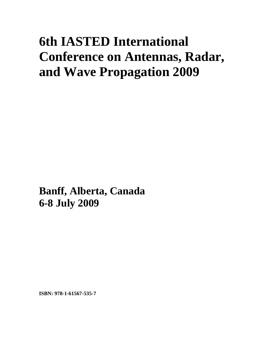# **6th IASTED International Conference on Antennas, Radar, and Wave Propagation 2009**

**Banff, Alberta, Canada 6-8 July 2009**

**ISBN: 978-1-61567-535-7**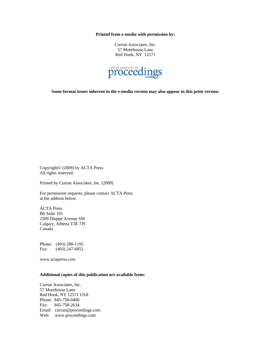**Printed from e-media with permission by:** 

Curran Associates, Inc. 57 Morehouse Lane Red Hook, NY 12571



**Some format issues inherent in the e-media version may also appear in this print version.** 

Copyright© (2009) by ACTA Press All rights reserved.

Printed by Curran Associates, Inc. (2009)

For permission requests, please contact ACTA Press at the address below.

ACTA Press B6 Suite 101 2509 Dieppe Avenue SW Calgary, Alberta T3E 7J9 Canada

Phone: (403) 288-1195 Fax: (403) 247-6851

www.actapress.com

#### **Additional copies of this publication are available from:**

Curran Associates, Inc. 57 Morehouse Lane Red Hook, NY 12571 USA Phone: 845-758-0400 Fax: 845-758-2634 Email: curran@proceedings.com Web: www.proceedings.com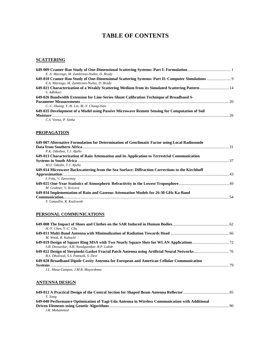## **TABLE OF CONTENTS**

#### **SCATTERING**

| E. A. Marengo, M. Zambrano-Nuñez, D. Brady                                                      |  |
|-------------------------------------------------------------------------------------------------|--|
|                                                                                                 |  |
| E.A. Marengo, M. Zambrano-Nuñez, D. Brady                                                       |  |
| 649-021 Characterization of a Weakly Scattering Medium from its Simulated Scattering Pattern 14 |  |
| S. Adhikari                                                                                     |  |
| 649-026 Bandwidth Extension for Line-Series-Shunt Calibration Technique of Broadband S-         |  |
|                                                                                                 |  |
| C.-C. Huang, Y.-H. Lin, M.-Y. Chang-Jian                                                        |  |
| 649-035 Development of a Model using Passive Microwave Remote Sensing for Computation of Soil   |  |
|                                                                                                 |  |
| C.S. Veena, P. Sinha                                                                            |  |

#### **PROPAGATION**

| 649-007 Alternative Formulation for Determination of Geoclimatic Factor using Local Radiosonde  |  |
|-------------------------------------------------------------------------------------------------|--|
|                                                                                                 |  |
| P.K. Odedina, T.J. Afullo                                                                       |  |
| 649-013 Characterization of Rain Attenuation and its Application to Terrestrial Communication   |  |
|                                                                                                 |  |
| M.O. Odedin, T.J. Afullo                                                                        |  |
| 649-014 Microwave Backscattering from the Sea Surface: Diffraction Corrections to the Kirchhoff |  |
|                                                                                                 |  |
| I. Fuks. V. Zavorotny                                                                           |  |
|                                                                                                 |  |
| M. Grabner, V. Kvicera                                                                          |  |
| 649-034 Implementation of Rain and Gaseous Attenuation Models for 26-30 GHz Ka-Band             |  |
|                                                                                                 |  |
| Y. Gataullin, R. Kozlowski                                                                      |  |

#### **PERSONAL COMMUNICATIONS**

| $H.-Y.$ Chen. $Y.-C.$ Chu                                                                |  |
|------------------------------------------------------------------------------------------|--|
|                                                                                          |  |
| M. Wnuk, R. Kubacki                                                                      |  |
|                                                                                          |  |
| S.B. Deosarkar, A.B. Nandgaonkar, R.P. Labde                                             |  |
|                                                                                          |  |
| B.S. Dhaliwal, S.S. Pattnaik, S. Devi                                                    |  |
| 649-028 Broadband Dipole Cavity Antenna for European and American Cellular Communication |  |
|                                                                                          |  |
| J.L. Masa-Campos, J.M.R. Mayordomo                                                       |  |

#### **ANTENNA DESIGN**

| Y. Yang                                                                                        |  |
|------------------------------------------------------------------------------------------------|--|
| 649-040 Performance Optimization of Yagi-Uda Antenna in Wireless Communication with Additional |  |
|                                                                                                |  |
| J.R. Mohammed                                                                                  |  |